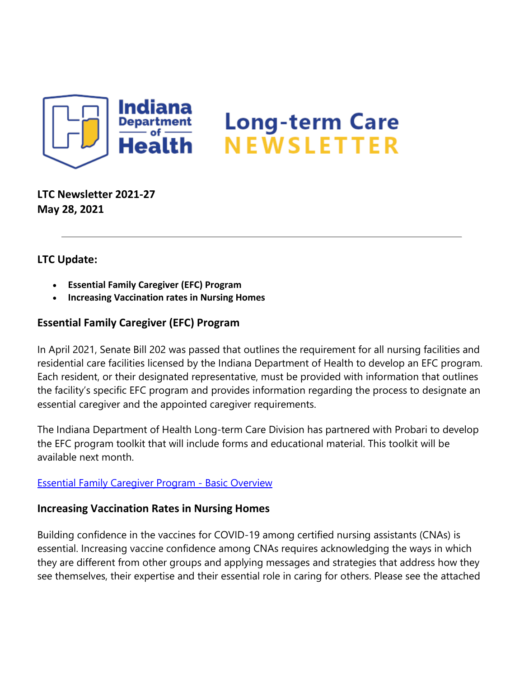

**LTC Newsletter 2021-27 May 28, 2021**

## **LTC Update:**

- **Essential Family Caregiver (EFC) Program**
- **Increasing Vaccination rates in Nursing Homes**

## **Essential Family Caregiver (EFC) Program**

In April 2021, Senate Bill 202 was passed that outlines the requirement for all nursing facilities and residential care facilities licensed by the Indiana Department of Health to develop an EFC program. Each resident, or their designated representative, must be provided with information that outlines the facility's specific EFC program and provides information regarding the process to designate an essential caregiver and the appointed caregiver requirements.

The Indiana Department of Health Long-term Care Division has partnered with Probari to develop the EFC program toolkit that will include forms and educational material. This toolkit will be available next month.

## [Essential Family Caregiver Program -](https://lnks.gd/l/eyJhbGciOiJIUzI1NiJ9.eyJidWxsZXRpbl9saW5rX2lkIjoxMDAsInVyaSI6ImJwMjpjbGljayIsImJ1bGxldGluX2lkIjoiMjAyMTA1MjguNDEyMzM0NzEiLCJ1cmwiOiJodHRwczovL2NvbnRlbnQuZ292ZGVsaXZlcnkuY29tL2F0dGFjaG1lbnRzL0lOU0RILzIwMjEvMDUvMjgvZmlsZV9hdHRhY2htZW50cy8xODM5NjI5L0VGQyUyME92ZXJ2aWV3JTIwc2hlZXQucGRmIn0.4Qz6UcRlJknAfvw5E75bzxw8m7qnfaUKRjH2qKz0RxQ/s/1439130268/br/107150277152-l) Basic Overview

## **Increasing Vaccination Rates in Nursing Homes**

Building confidence in the vaccines for COVID-19 among certified nursing assistants (CNAs) is essential. Increasing vaccine confidence among CNAs requires acknowledging the ways in which they are different from other groups and applying messages and strategies that address how they see themselves, their expertise and their essential role in caring for others. Please see the attached